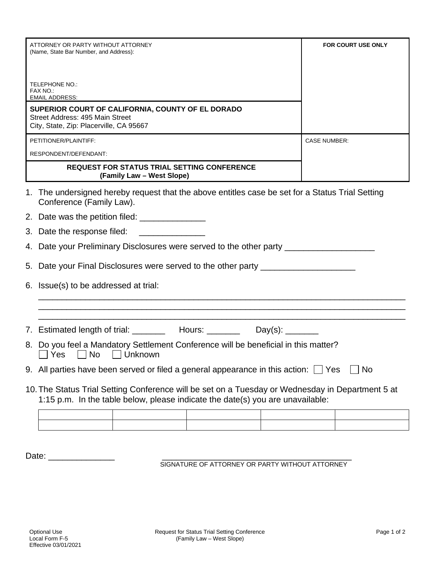| ATTORNEY OR PARTY WITHOUT ATTORNEY<br>(Name, State Bar Number, and Address):                                                    |                                                                                                                                                                                    |  | <b>FOR COURT USE ONLY</b> |  |  |
|---------------------------------------------------------------------------------------------------------------------------------|------------------------------------------------------------------------------------------------------------------------------------------------------------------------------------|--|---------------------------|--|--|
| TELEPHONE NO.:<br>FAX NO.:<br><b>EMAIL ADDRESS:</b>                                                                             |                                                                                                                                                                                    |  |                           |  |  |
| SUPERIOR COURT OF CALIFORNIA, COUNTY OF EL DORADO<br>Street Address: 495 Main Street<br>City, State, Zip: Placerville, CA 95667 |                                                                                                                                                                                    |  |                           |  |  |
| PETITIONER/PLAINTIFF:                                                                                                           |                                                                                                                                                                                    |  | <b>CASE NUMBER:</b>       |  |  |
| RESPONDENT/DEFENDANT:                                                                                                           |                                                                                                                                                                                    |  |                           |  |  |
|                                                                                                                                 | <b>REQUEST FOR STATUS TRIAL SETTING CONFERENCE</b><br>(Family Law - West Slope)                                                                                                    |  |                           |  |  |
| 1.                                                                                                                              | The undersigned hereby request that the above entitles case be set for a Status Trial Setting<br>Conference (Family Law).                                                          |  |                           |  |  |
|                                                                                                                                 |                                                                                                                                                                                    |  |                           |  |  |
|                                                                                                                                 | 3. Date the response filed:                                                                                                                                                        |  |                           |  |  |
|                                                                                                                                 | 4. Date your Preliminary Disclosures were served to the other party ___________________                                                                                            |  |                           |  |  |
|                                                                                                                                 | 5. Date your Final Disclosures were served to the other party __________________                                                                                                   |  |                           |  |  |
|                                                                                                                                 | 6. Issue(s) to be addressed at trial:                                                                                                                                              |  |                           |  |  |
|                                                                                                                                 |                                                                                                                                                                                    |  |                           |  |  |
|                                                                                                                                 | 7. Estimated length of trial: __________ Hours: _________ Day(s): ________                                                                                                         |  |                           |  |  |
|                                                                                                                                 | 8. Do you feel a Mandatory Settlement Conference will be beneficial in this matter?<br>□ Yes □ No □ Unknown                                                                        |  |                           |  |  |
|                                                                                                                                 | 9. All parties have been served or filed a general appearance in this action: $\Box$ Yes<br>No                                                                                     |  |                           |  |  |
|                                                                                                                                 | 10. The Status Trial Setting Conference will be set on a Tuesday or Wednesday in Department 5 at<br>1:15 p.m. In the table below, please indicate the date(s) you are unavailable: |  |                           |  |  |
|                                                                                                                                 |                                                                                                                                                                                    |  |                           |  |  |
|                                                                                                                                 |                                                                                                                                                                                    |  |                           |  |  |

Date: \_\_\_\_\_\_\_\_\_\_\_\_\_\_ \_\_\_\_\_\_\_\_\_\_\_\_\_\_\_\_\_\_\_\_\_\_\_\_\_\_\_\_\_\_\_\_\_\_\_\_\_\_\_\_ SIGNATURE OF ATTORNEY OR PARTY WITHOUT ATTORNEY